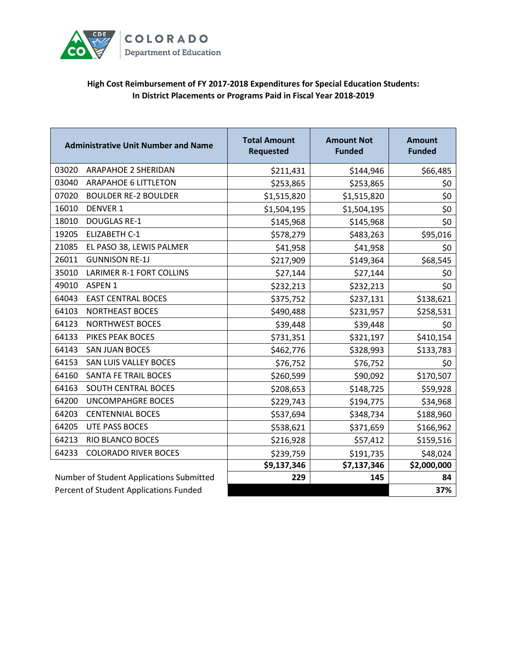

## **High Cost Reimbursement of FY 2017-2018 Expenditures for Special Education Students: In District Placements or Programs Paid in Fiscal Year 2018-2019**

| <b>Administrative Unit Number and Name</b> | <b>Total Amount</b><br><b>Requested</b> | <b>Amount Not</b><br><b>Funded</b> | <b>Amount</b><br><b>Funded</b> |
|--------------------------------------------|-----------------------------------------|------------------------------------|--------------------------------|
| 03020<br><b>ARAPAHOE 2 SHERIDAN</b>        | \$211,431                               | \$144,946                          | \$66,485                       |
| 03040<br><b>ARAPAHOE 6 LITTLETON</b>       | \$253,865                               | \$253,865                          | \$0                            |
| 07020<br><b>BOULDER RE-2 BOULDER</b>       | \$1,515,820                             | \$1,515,820                        | \$0                            |
| 16010<br><b>DENVER 1</b>                   | \$1,504,195                             | \$1,504,195                        | \$0                            |
| 18010<br><b>DOUGLAS RE-1</b>               | \$145,968                               | \$145,968                          | \$0\$                          |
| 19205<br><b>ELIZABETH C-1</b>              | \$578,279                               | \$483,263                          | \$95,016                       |
| 21085<br>EL PASO 38, LEWIS PALMER          | \$41,958                                | \$41,958                           | \$0\$                          |
| 26011<br><b>GUNNISON RE-1J</b>             | \$217,909                               | \$149,364                          | \$68,545                       |
| 35010<br>LARIMER R-1 FORT COLLINS          | \$27,144                                | \$27,144                           | \$0                            |
| 49010<br>ASPEN 1                           | \$232,213                               | \$232,213                          | \$0\$                          |
| 64043<br><b>EAST CENTRAL BOCES</b>         | \$375,752                               | \$237,131                          | \$138,621                      |
| 64103<br><b>NORTHEAST BOCES</b>            | \$490,488                               | \$231,957                          | \$258,531                      |
| 64123<br><b>NORTHWEST BOCES</b>            | \$39,448                                | \$39,448                           | \$0                            |
| 64133<br>PIKES PEAK BOCES                  | \$731,351                               | \$321,197                          | \$410,154                      |
| 64143<br><b>SAN JUAN BOCES</b>             | \$462,776                               | \$328,993                          | \$133,783                      |
| 64153<br><b>SAN LUIS VALLEY BOCES</b>      | \$76,752                                | \$76,752                           | \$0\$                          |
| 64160<br>SANTA FE TRAIL BOCES              | \$260,599                               | \$90,092                           | \$170,507                      |
| 64163<br><b>SOUTH CENTRAL BOCES</b>        | \$208,653                               | \$148,725                          | \$59,928                       |
| 64200<br><b>UNCOMPAHGRE BOCES</b>          | \$229,743                               | \$194,775                          | \$34,968                       |
| 64203<br><b>CENTENNIAL BOCES</b>           | \$537,694                               | \$348,734                          | \$188,960                      |
| 64205<br><b>UTE PASS BOCES</b>             | \$538,621                               | \$371,659                          | \$166,962                      |
| 64213<br>RIO BLANCO BOCES                  | \$216,928                               | \$57,412                           | \$159,516                      |
| 64233<br><b>COLORADO RIVER BOCES</b>       | \$239,759                               | \$191,735                          | \$48,024                       |
|                                            | \$9,137,346                             | \$7,137,346                        | \$2,000,000                    |
| Number of Student Applications Submitted   | 229                                     | 145                                | 84                             |
| Percent of Student Applications Funded     |                                         |                                    | 37%                            |